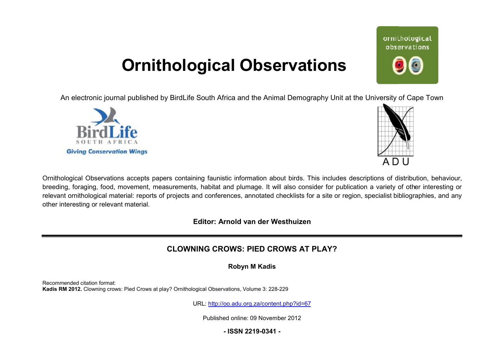# **Ornithological Observations**

An electronic journal published by BirdLife South Africa and the Animal Demography Unit at the University of Cape Town





Ornithological Observations accepts papers containing faunistic information about birds. This includes descriptions of distribution, behaviour, breeding, foraging, food, movement, measurements, habitat and plumage. It will also consider for publication a variety of other interesting or relevant ornithological material: reports of projects and conferences, annotated checklists for a site or region, specialist bibliographies, and any other interesting or relevant material.

**Editor: Arnold van der Westhuizen**

## **CLOWNING CROWS: PIED PIED CROWS AT PLAY?**

**Robyn M Kadis** 

Recommended citation format: Kadis RM 2012. Clowning crows: Pied Crows at play? Ornithological Observations, Volume 3: 228-229

URL: <http://oo.adu.org.za/content.php?id=67>

Published online: 09 November 2012

## **- ISSN 2219-0341 -**

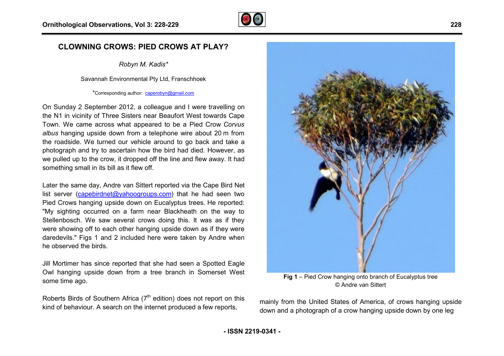

## **CLOWNING CROWS: PIED CROWS AT PLAY PLAY?**

*Robyn M. Kadis\**

Savannah Environmental Pty Ltd, Franschhoek

\*Corresponding author: [caperobyn@gmail.com](mailto:caperobyn@gmail.com)

On Sunday 2 September 2012, a colleague and I were travelling on the N1 in vicinity of Three Sisters near Beaufort West towards Cape Town. We came across what appeared to be a Pied Crow *Corvus albus* hanging upside down from a telephone wire about 20 m from the roadside. We turned our vehicle around to go back and take a photograph and try to ascertain how the bird had died. However, as we pulled up to the crow, it dropped off the line and flew away. It had something small in its bill as it flew off.

Later the same day, Andre van Sittert reported via the Cape Bird Net list server [\(capebirdnet@yahoogroups.com](mailto:capebirdnet@yahoogroups.com)) that he had seen two Pied Crows hanging upside down on Eucalyptus trees. He reported: "My sighting occurred on a farm near Blackheath on the way to Stellenbosch. We saw several crows doing this. It was as if they were showing off to each other hanging upside down as if they were daredevils." Figs 1 and 2 included here were taken by Andre when he observed the birds.

Jill Mortimer has since reported that she had seen a Spotted Eagle Owl hanging upside down from a tree branch in Somerset West some time ago.

Roberts Birds of Southern Africa  $(7<sup>th</sup>$  edition) does not report on this kind of behaviour. A search on the internet produced a few reports,



**Fig 1** – Pied Crow hanging onto branch of Eucalyptus tree © Andre van Sittert

mainly from the United States of America, of crows hanging upside down and a photograph of a crow hanging upside down by one leg